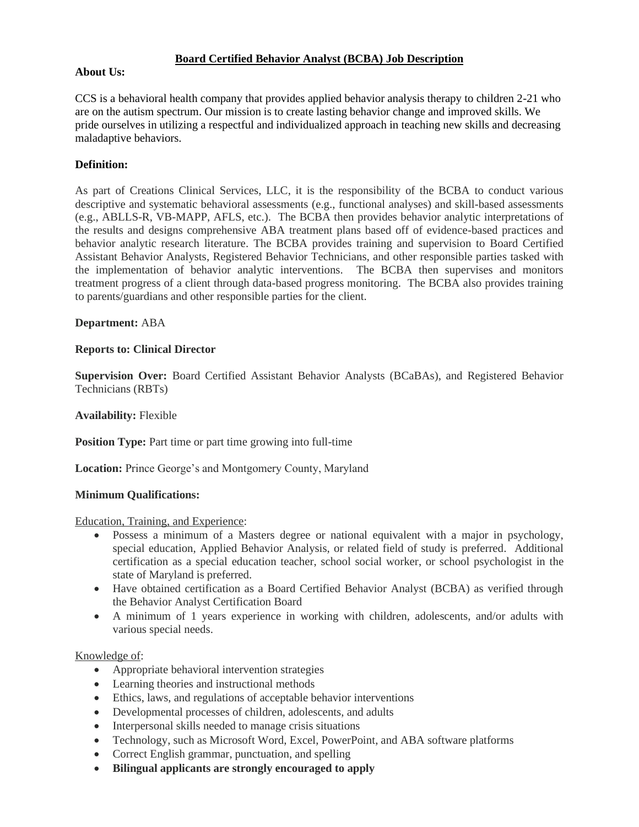### **Board Certified Behavior Analyst (BCBA) Job Description**

## **About Us:**

CCS is a behavioral health company that provides applied behavior analysis therapy to children 2-21 who are on the autism spectrum. Our mission is to create lasting behavior change and improved skills. We pride ourselves in utilizing a respectful and individualized approach in teaching new skills and decreasing maladaptive behaviors.

# **Definition:**

As part of Creations Clinical Services, LLC, it is the responsibility of the BCBA to conduct various descriptive and systematic behavioral assessments (e.g., functional analyses) and skill-based assessments (e.g., ABLLS-R, VB-MAPP, AFLS, etc.). The BCBA then provides behavior analytic interpretations of the results and designs comprehensive ABA treatment plans based off of evidence-based practices and behavior analytic research literature. The BCBA provides training and supervision to Board Certified Assistant Behavior Analysts, Registered Behavior Technicians, and other responsible parties tasked with the implementation of behavior analytic interventions. The BCBA then supervises and monitors treatment progress of a client through data-based progress monitoring. The BCBA also provides training to parents/guardians and other responsible parties for the client.

#### **Department:** ABA

#### **Reports to: Clinical Director**

**Supervision Over:** Board Certified Assistant Behavior Analysts (BCaBAs), and Registered Behavior Technicians (RBTs)

**Availability:** Flexible

**Position Type:** Part time or part time growing into full-time

**Location:** Prince George's and Montgomery County, Maryland

#### **Minimum Qualifications:**

Education, Training, and Experience:

- Possess a minimum of a Masters degree or national equivalent with a major in psychology, special education, Applied Behavior Analysis, or related field of study is preferred. Additional certification as a special education teacher, school social worker, or school psychologist in the state of Maryland is preferred.
- Have obtained certification as a Board Certified Behavior Analyst (BCBA) as verified through the Behavior Analyst Certification Board
- A minimum of 1 years experience in working with children, adolescents, and/or adults with various special needs.

#### Knowledge of:

- Appropriate behavioral intervention strategies
- Learning theories and instructional methods
- Ethics, laws, and regulations of acceptable behavior interventions
- Developmental processes of children, adolescents, and adults
- Interpersonal skills needed to manage crisis situations
- Technology, such as Microsoft Word, Excel, PowerPoint, and ABA software platforms
- Correct English grammar, punctuation, and spelling
- **Bilingual applicants are strongly encouraged to apply**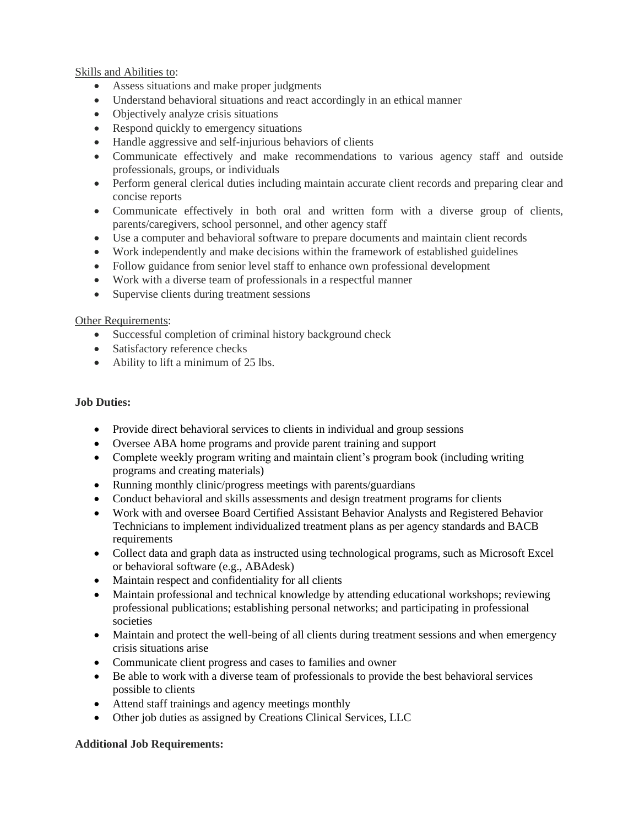# Skills and Abilities to:

- Assess situations and make proper judgments
- Understand behavioral situations and react accordingly in an ethical manner
- Objectively analyze crisis situations
- Respond quickly to emergency situations
- Handle aggressive and self-injurious behaviors of clients
- Communicate effectively and make recommendations to various agency staff and outside professionals, groups, or individuals
- Perform general clerical duties including maintain accurate client records and preparing clear and concise reports
- Communicate effectively in both oral and written form with a diverse group of clients, parents/caregivers, school personnel, and other agency staff
- Use a computer and behavioral software to prepare documents and maintain client records
- Work independently and make decisions within the framework of established guidelines
- Follow guidance from senior level staff to enhance own professional development
- Work with a diverse team of professionals in a respectful manner
- Supervise clients during treatment sessions

# Other Requirements:

- Successful completion of criminal history background check
- Satisfactory reference checks
- Ability to lift a minimum of 25 lbs.

# **Job Duties:**

- Provide direct behavioral services to clients in individual and group sessions
- Oversee ABA home programs and provide parent training and support
- Complete weekly program writing and maintain client's program book (including writing programs and creating materials)
- Running monthly clinic/progress meetings with parents/guardians
- Conduct behavioral and skills assessments and design treatment programs for clients
- Work with and oversee Board Certified Assistant Behavior Analysts and Registered Behavior Technicians to implement individualized treatment plans as per agency standards and BACB requirements
- Collect data and graph data as instructed using technological programs, such as Microsoft Excel or behavioral software (e.g., ABAdesk)
- Maintain respect and confidentiality for all clients
- Maintain professional and technical knowledge by attending educational workshops; reviewing professional publications; establishing personal networks; and participating in professional societies
- Maintain and protect the well-being of all clients during treatment sessions and when emergency crisis situations arise
- Communicate client progress and cases to families and owner
- Be able to work with a diverse team of professionals to provide the best behavioral services possible to clients
- Attend staff trainings and agency meetings monthly
- Other job duties as assigned by Creations Clinical Services, LLC

#### **Additional Job Requirements:**